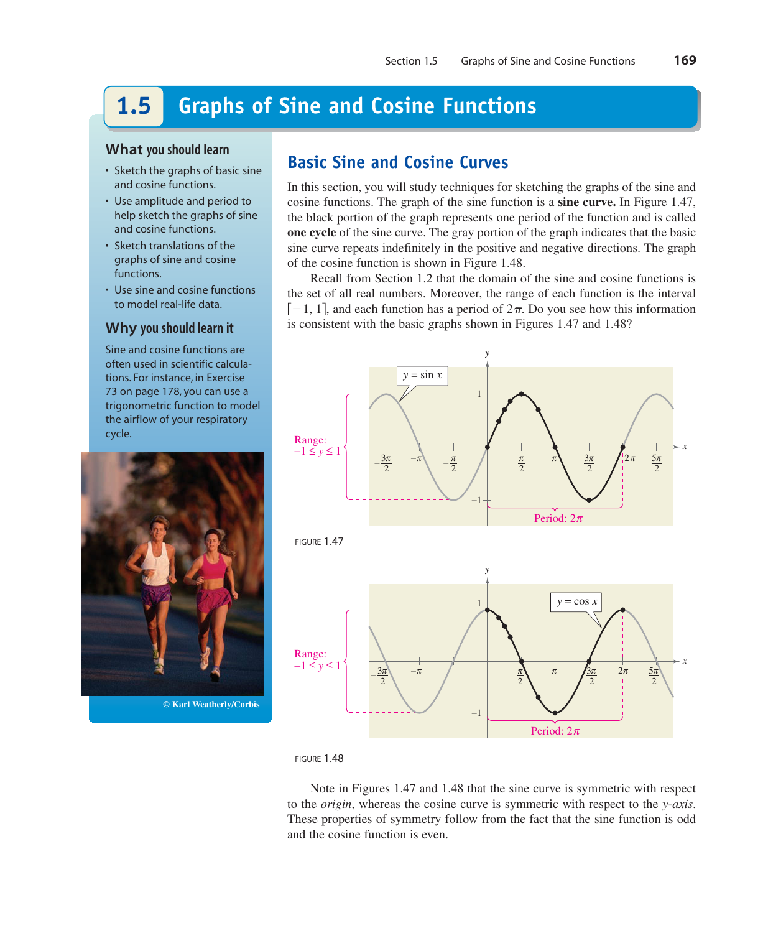### **Graphs of Sine and Cosine Functions 1.5**

### **What you should learn**

- Sketch the graphs of basic sine and cosine functions.
- Use amplitude and period to help sketch the graphs of sine and cosine functions.
- Sketch translations of the graphs of sine and cosine functions.
- Use sine and cosine functions to model real-life data.

### **Why you should learn it**

Sine and cosine functions are often used in scientific calculations. For instance, in Exercise 73 on page 178, you can use a trigonometric function to model the airflow of your respiratory cycle.



**© Karl Weatherly/Corbis**

# **Basic Sine and Cosine Curves**

In this section, you will study techniques for sketching the graphs of the sine and cosine functions. The graph of the sine function is a **sine curve.** In Figure 1.47, the black portion of the graph represents one period of the function and is called **one cycle** of the sine curve. The gray portion of the graph indicates that the basic sine curve repeats indefinitely in the positive and negative directions. The graph of the cosine function is shown in Figure 1.48.

Recall from Section 1.2 that the domain of the sine and cosine functions is the set of all real numbers. Moreover, the range of each function is the interval  $[-1, 1]$ , and each function has a period of  $2\pi$ . Do you see how this information is consistent with the basic graphs shown in Figures 1.47 and 1.48?







Note in Figures 1.47 and 1.48 that the sine curve is symmetric with respect to the *origin*, whereas the cosine curve is symmetric with respect to the *y*-axis. These properties of symmetry follow from the fact that the sine function is odd and the cosine function is even.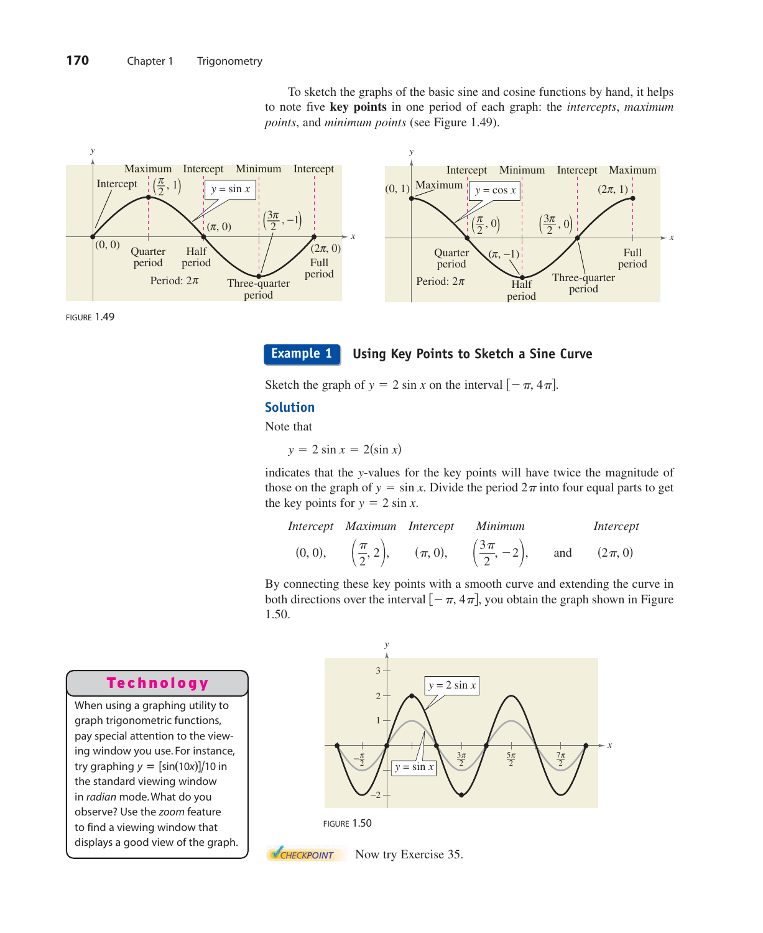



FIGURE 1.49

**Example 1**

### **Using Key Points to Sketch a Sine Curve**

Sketch the graph of  $y = 2 \sin x$  on the interval  $[-\pi, 4\pi]$ .

### **Solution**

Note that

 $y = 2 \sin x = 2(\sin x)$ 

indicates that the y-values for the key points will have twice the magnitude of those on the graph of  $y = \sin x$ . Divide the period  $2\pi$  into four equal parts to get the key points for  $y = 2 \sin x$ .

|         |  | Intercept Maximum Intercept Minimum                                                                                      | Intercept |
|---------|--|--------------------------------------------------------------------------------------------------------------------------|-----------|
| (0, 0), |  | $\left(\frac{\pi}{2}, 2\right), \quad (\pi, 0), \quad \left(\frac{3\pi}{2}, -2\right), \quad \text{and} \quad (2\pi, 0)$ |           |

By connecting these key points with a smooth curve and extending the curve in both directions over the interval  $[-\pi, 4\pi]$ , you obtain the graph shown in Figure 1.50.

### Technology

When using a graphing utility to graph trigonometric functions, pay special attention to the viewing window you use. For instance, try graphing  $y = \frac{\sin(10x)}{10}$  in the standard viewing window in radian mode. What do you observe? Use the zoom feature to find a viewing window that displays a good view of the graph.







Now try Exercise 35.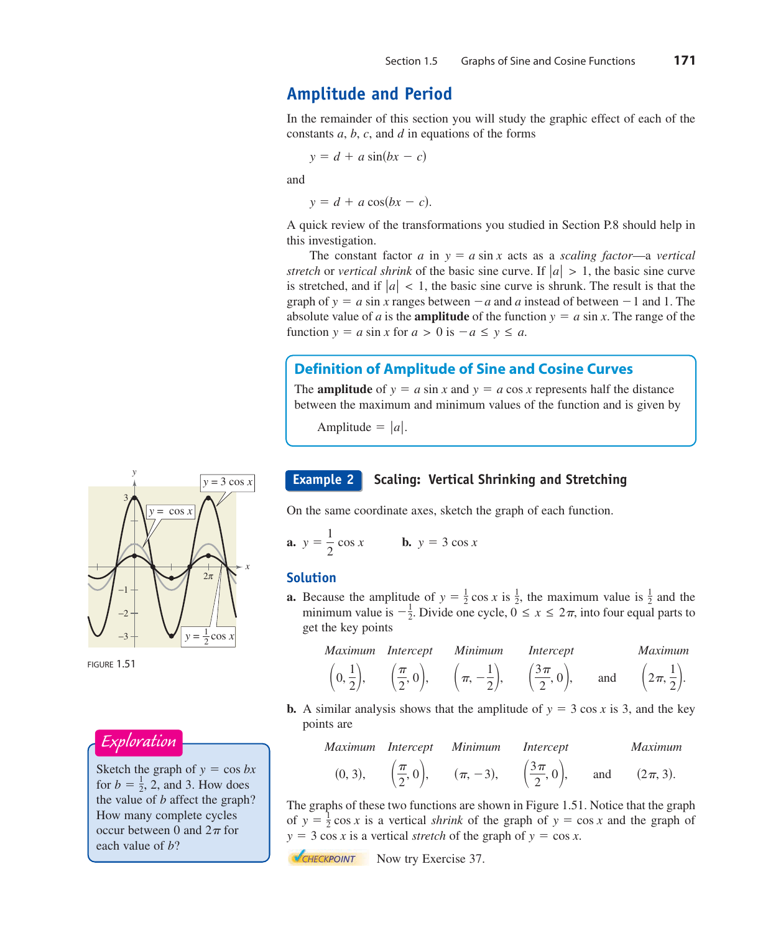# **Amplitude and Period**

In the remainder of this section you will study the graphic effect of each of the constants  $a, b, c$ , and  $d$  in equations of the forms

$$
y = d + a \sin(bx - c)
$$

and

 $y = d + a \cos(bx - c)$ .

A quick review of the transformations you studied in Section P.8 should help in this investigation.

The constant factor *a* in  $y = a \sin x$  acts as a *scaling factor—a vertical stretch* or *vertical shrink* of the basic sine curve. If  $|a| > 1$ , the basic sine curve is stretched, and if  $|a| < 1$ , the basic sine curve is shrunk. The result is that the graph of  $y = a \sin x$  ranges between  $-a$  and a instead of between  $-1$  and 1. The absolute value of *a* is the **amplitude** of the function  $y = a \sin x$ . The range of the function  $y = a \sin x$  for  $a > 0$  is  $-a \le y \le a$ .

### **Definition of Amplitude of Sine and Cosine Curves**

The **amplitude** of  $y = a \sin x$  and  $y = a \cos x$  represents half the distance between the maximum and minimum values of the function and is given by

Amplitude  $= |a|$ .

### **Scaling: Vertical Shrinking and Stretching**

On the same coordinate axes, sketch the graph of each function.

**a.** 
$$
y = \frac{1}{2} \cos x
$$
 **b.**  $y = 3 \cos x$ 

### **Solution**

**a.** Because the amplitude of  $y = \frac{1}{2} \cos x$  is  $\frac{1}{2}$ , the maximum value is  $\frac{1}{2}$  and the minimum value is  $-\frac{1}{2}$ . Divide one cycle,  $0 \le x \le 2\pi$ , into four equal parts to get the key points

Maximum Intercept Minimum Intercept Maximum  
\n
$$
\left(0, \frac{1}{2}\right), \quad \left(\frac{\pi}{2}, 0\right), \quad \left(\pi, -\frac{1}{2}\right), \quad \left(\frac{3\pi}{2}, 0\right), \quad \text{and} \quad \left(2\pi, \frac{1}{2}\right).
$$

**b.** A similar analysis shows that the amplitude of  $y = 3 \cos x$  is 3, and the key points are

Maximum Intercept Minimum Intercept Maximum  
(0, 3), 
$$
\left(\frac{\pi}{2}, 0\right)
$$
,  $(\pi, -3)$ ,  $\left(\frac{3\pi}{2}, 0\right)$ , and  $(2\pi, 3)$ .

The graphs of these two functions are shown in Figure 1.51. Notice that the graph of  $y = \frac{1}{2} \cos x$  is a vertical *shrink* of the graph of  $y = \cos x$  and the graph of  $y = 3 \cos x$  is a vertical *stretch* of the graph of  $y = \cos x$ .

**NOW EXERCISE 37.** Now try Exercise 37.



FIGURE 1.51

### Exploration

Sketch the graph of  $y = \cos bx$ for  $b = \frac{1}{2}$ , 2, and 3. How does the value of  $b$  affect the graph? How many complete cycles occur between 0 and  $2\pi$  for each value of *b*?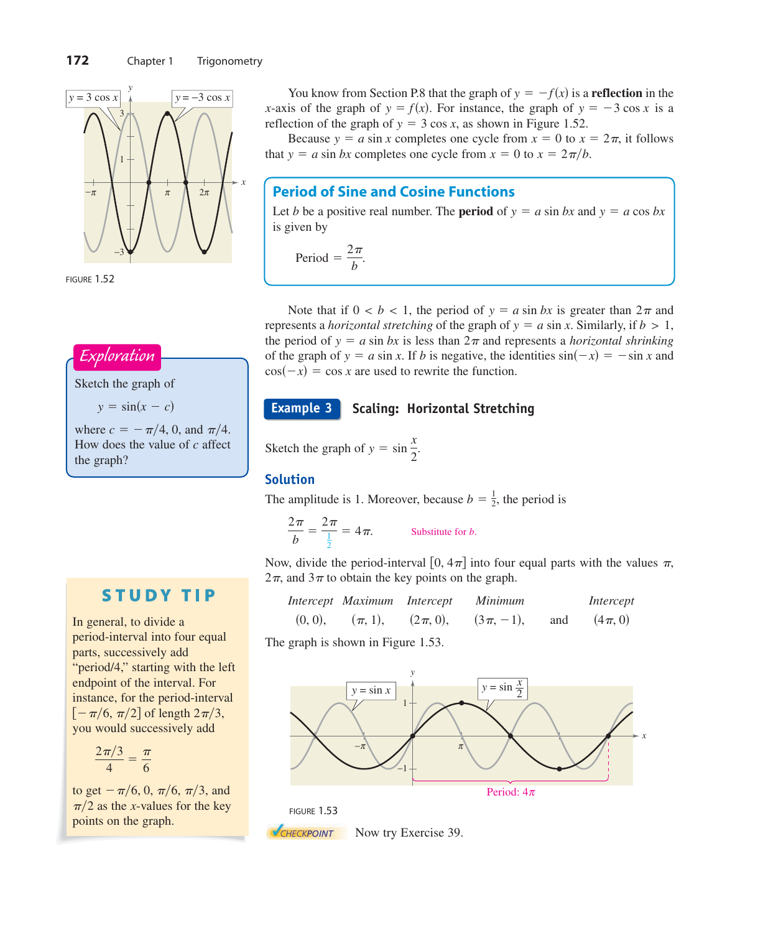





Sketch the graph of

 $y = \sin(x - c)$ 

where  $c = -\frac{\pi}{4}$ , 0, and  $\frac{\pi}{4}$ . How does the value of c affect the graph?

# **STUDY TIP**

In general, to divide a period-interval into four equal parts, successively add "period/4," starting with the left endpoint of the interval. For instance, for the period-interval  $[-\pi/6, \pi/2]$  of length  $2\pi/3$ , you would successively add

$$
\frac{2\pi/3}{4}=\frac{\pi}{6}
$$

to get  $-\pi/6, 0, \pi/6, \pi/3$ , and  $\pi/2$  as the *x*-values for the key points on the graph.

You know from Section P.8 that the graph of  $y = -f(x)$  is a **reflection** in the *x*-axis of the graph of  $y = f(x)$ . For instance, the graph of  $y = -3 \cos x$  is a reflection of the graph of  $y = 3 \cos x$ , as shown in Figure 1.52.

Because  $y = a \sin x$  completes one cycle from  $x = 0$  to  $x = 2\pi$ , it follows that  $y = a \sin bx$  completes one cycle from  $x = 0$  to  $x = 2\pi/b$ .

# **Period of Sine and Cosine Functions**

Let *b* be a positive real number. The **period** of  $y = a \sin bx$  and  $y = a \cos bx$ is given by

Period  $=$   $\frac{2\pi}{b}$ .

Note that if  $0 < b < 1$ , the period of  $y = a \sin bx$  is greater than  $2\pi$  and represents a *horizontal stretching* of the graph of  $y = a \sin x$ . Similarly, if  $b > 1$ , the period of  $y = a \sin bx$  is less than  $2\pi$  and represents a *horizontal shrinking* of the graph of  $y = a \sin x$ . If *b* is negative, the identities  $\sin(-x) = -\sin x$  and  $cos(-x) = cos x$  are used to rewrite the function.

#### **Scaling: Horizontal Stretching Example 3**

Sketch the graph of  $y = \sin \frac{x}{2}$  $\frac{1}{2}$ .

### **Solution**

The amplitude is 1. Moreover, because  $b = \frac{1}{2}$ , the period is

$$
\frac{2\pi}{b} = \frac{2\pi}{\frac{1}{2}} = 4\pi.
$$
 Substitute for *b*.

Now, divide the period-interval [0,  $4\pi$ ] into four equal parts with the values  $\pi$ ,  $2\pi$ , and  $3\pi$  to obtain the key points on the graph.

|         | Intercept Maximum Intercept |              | <i>Minimum</i> |     | Intercept   |
|---------|-----------------------------|--------------|----------------|-----|-------------|
| (0, 0), | $(\pi, 1),$                 | $(2\pi, 0),$ | $(3\pi, -1),$  | and | $(4\pi, 0)$ |

The graph is shown in Figure 1.53.





**NOW EXERCISE 39.** Now try Exercise 39.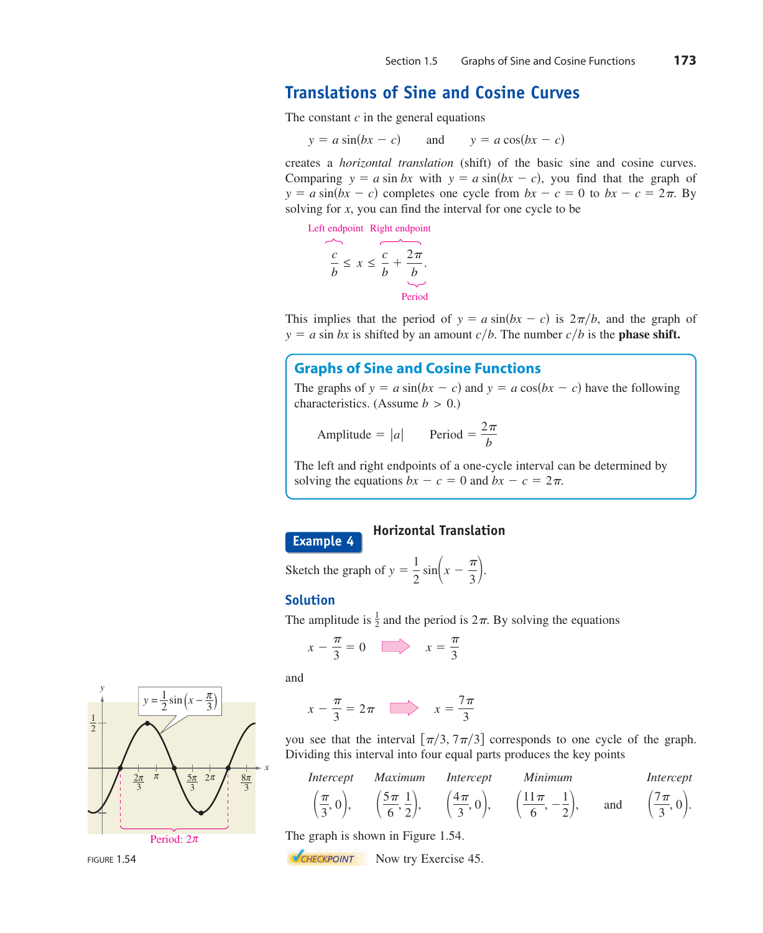# **Translations of Sine and Cosine Curves**

The constant  $c$  in the general equations

and  $y = a \sin(bx - c)$  and  $y = a \cos(bx - c)$ 

creates a *horizontal translation* (shift) of the basic sine and cosine curves. Comparing  $y = a \sin bx$  with  $y = a \sin(bx - c)$ , you find that the graph of  $y = a \sin(bx - c)$  completes one cycle from  $bx - c = 0$  to  $bx - c = 2\pi$ . By solving for x, you can find the interval for one cycle to be

Left endpoint Right endpoint

$$
\frac{c}{b} \le x \le \underbrace{\overbrace{c}_{b} + \frac{2\pi}{b}}_{\text{Period}}.
$$

This implies that the period of  $y = a \sin(bx - c)$  is  $2\pi/b$ , and the graph of  $y = a \sin bx$  is shifted by an amount  $c/b$ . The number  $c/b$  is the **phase shift.** 

### **Graphs of Sine and Cosine Functions**

The graphs of  $y = a \sin(bx - c)$  and  $y = a \cos(bx - c)$  have the following characteristics. (Assume  $b > 0$ .)

Amplitude = 
$$
|a|
$$
 Period =  $\frac{2\pi}{b}$ 

The left and right endpoints of a one-cycle interval can be determined by solving the equations  $bx - c = 0$  and  $bx - c = 2\pi$ .



### **Horizontal Translation**

Sketch the graph of  $y = \frac{1}{2} \sin\left(x - \frac{\pi}{3}\right)$ .

### **Solution**

The amplitude is  $\frac{1}{2}$  and the period is  $2\pi$ . By solving the equations

$$
x - \frac{\pi}{3} = 0 \qquad x = \frac{\pi}{3}
$$

and

$$
x - \frac{\pi}{3} = 2\pi \quad \boxed{\phantom{000000000}} \quad x = \frac{7\pi}{3}
$$

you see that the interval  $\lfloor \pi/3, 7\pi/3 \rfloor$  corresponds to one cycle of the graph. Dividing this interval into four equal parts produces the key points

*Intercept Maximum Intercept Minimum Intercept*  

$$
\left(\frac{\pi}{3}, 0\right)
$$
,  $\left(\frac{5\pi}{6}, \frac{1}{2}\right)$ ,  $\left(\frac{4\pi}{3}, 0\right)$ ,  $\left(\frac{11\pi}{6}, -\frac{1}{2}\right)$ , and  $\left(\frac{7\pi}{3}, 0\right)$ .

The graph is shown in Figure 1.54.

**NOW CHECKPOINT** Now try Exercise 45.



FIGURE 1.54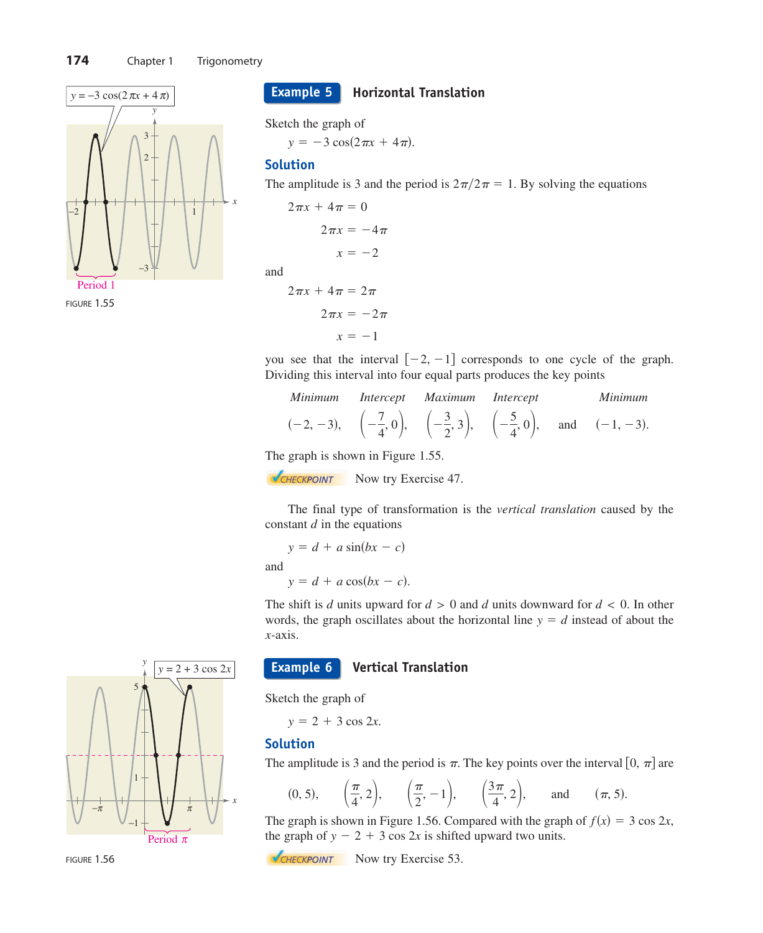

FIGURE 1.55

**Horizontal Translation Example 5**

Sketch the graph of

 $y = -3 \cos(2\pi x + 4\pi)$ .

### **Solution**

and

The amplitude is 3 and the period is  $2\pi/2\pi = 1$ . By solving the equations

$$
2\pi x + 4\pi = 0
$$

$$
2\pi x = -4\pi
$$

$$
x = -2
$$

$$
2\pi x + 4\pi = 2\pi
$$

 $x = -1$  $2\pi x = -2\pi$ 

you see that the interval  $[-2, -1]$  corresponds to one cycle of the graph. Dividing this interval into four equal parts produces the key points

| Minimum Intercept Maximum Intercept                                                                                                                      |  |  | <i>Minimum</i> |
|----------------------------------------------------------------------------------------------------------------------------------------------------------|--|--|----------------|
| $(-2, -3), \quad \left(-\frac{7}{4}, 0\right), \quad \left(-\frac{3}{2}, 3\right), \quad \left(-\frac{5}{4}, 0\right), \quad \text{and} \quad (-1, -3).$ |  |  |                |

The graph is shown in Figure 1.55.

**NOW EXERCISE 47.** Now try Exercise 47.

The final type of transformation is the *vertical translation* caused by the constant  $d$  in the equations

$$
y = d + a \sin(bx - c)
$$
  
and  

$$
y = d + a \cos(bx - c).
$$

The shift is d units upward for  $d > 0$  and d units downward for  $d < 0$ . In other words, the graph oscillates about the horizontal line  $y = d$  instead of about the -axis. *x*

#### **Vertical Translation Example 6**

Sketch the graph of

 $y = 2 + 3 \cos 2x$ .

### **Solution**

The amplitude is 3 and the period is  $\pi$ . The key points over the interval [0,  $\pi$ ] are

$$
(0, 5), \quad (\frac{\pi}{4}, 2), \quad (\frac{\pi}{2}, -1), \quad (\frac{3\pi}{4}, 2), \quad \text{and} \quad (\pi, 5).
$$

The graph is shown in Figure 1.56. Compared with the graph of  $f(x) = 3 \cos 2x$ , the graph of  $y - 2 + 3 \cos 2x$  is shifted upward two units.

**NOW CHECKPOINT** Now try Exercise 53.



FIGURE 1.56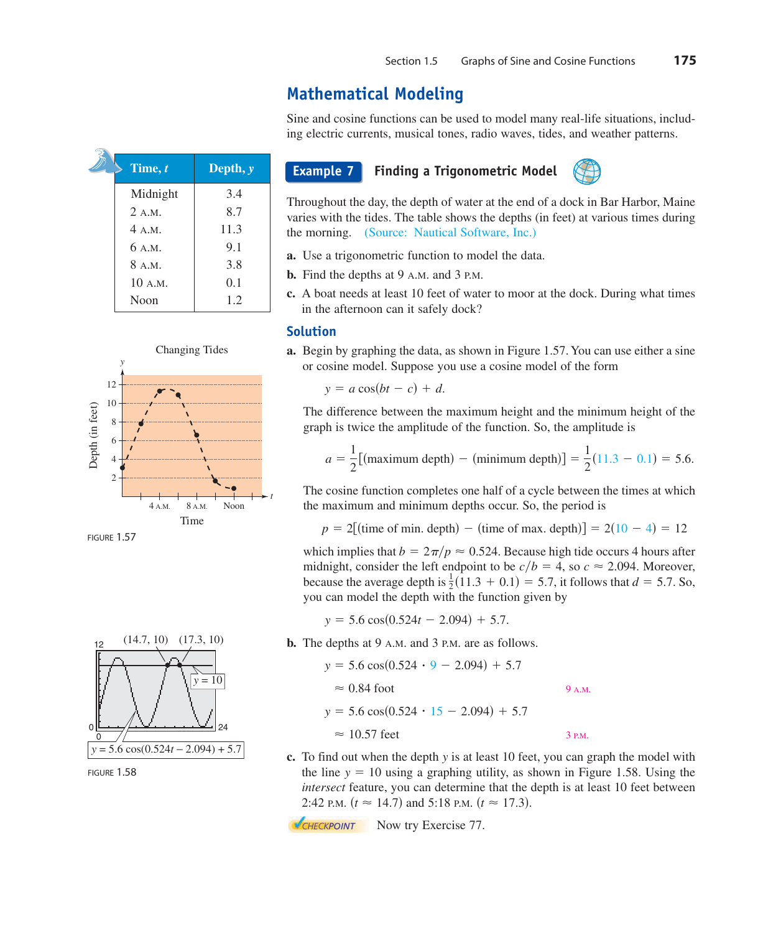# **Mathematical Modeling**

Sine and cosine functions can be used to model many real-life situations, including electric currents, musical tones, radio waves, tides, and weather patterns.

| Time, t  | Depth, $y$ |
|----------|------------|
| Midnight | 3.4        |
| 2. A.M.  | 8.7        |
| 4 A.M.   | 11.3       |
| 6 A.M.   | 9.1        |
| 8 A.M.   | 3.8        |
| 10 A.M.  | 0.1        |
| Noon     | 1.2        |
|          |            |



FIGURE 1.57



FIGURE 1.58

### **Example 7**

### **Finding a Trigonometric Model**



Throughout the day, the depth of water at the end of a dock in Bar Harbor, Maine varies with the tides. The table shows the depths (in feet) at various times during the morning. (Source: Nautical Software, Inc.)

- **a.** Use a trigonometric function to model the data.
- **b.** Find the depths at 9 A.M. and 3 P.M.
- **c.** A boat needs at least 10 feet of water to moor at the dock. During what times in the afternoon can it safely dock?

### **Solution**

**a.** Begin by graphing the data, as shown in Figure 1.57. You can use either a sine or cosine model. Suppose you use a cosine model of the form

 $y = a \cos(bt - c) + d$ .

The difference between the maximum height and the minimum height of the graph is twice the amplitude of the function. So, the amplitude is

$$
a = \frac{1}{2} [(\text{maximum depth}) - (\text{minimum depth})] = \frac{1}{2} (11.3 - 0.1) = 5.6.
$$

The cosine function completes one half of a cycle between the times at which the maximum and minimum depths occur. So, the period is

 $p = 2$ [(time of min. depth) – (time of max. depth)] =  $2(10 - 4) = 12$ 

which implies that  $b = 2\pi/p \approx 0.524$ . Because high tide occurs 4 hours after midnight, consider the left endpoint to be  $c/b = 4$ , so  $c \approx 2.094$ . Moreover, because the average depth is  $\frac{1}{2}(11.3 + 0.1) = 5.7$ , it follows that  $d = 5.7$ . So, you can model the depth with the function given by

 $y = 5.6 \cos(0.524t - 2.094) + 5.7.$ 

**b.** The depths at 9 A.M. and 3 P.M. are as follows.

$$
y = 5.6 \cos(0.524 \cdot 9 - 2.094) + 5.7
$$
  
\n
$$
\approx 0.84 \text{ foot}
$$
  
\n
$$
y = 5.6 \cos(0.524 \cdot 15 - 2.094) + 5.7
$$
  
\n
$$
\approx 10.57 \text{ feet}
$$
  
\n3 PM.

**c.** To find out when the depth y is at least 10 feet, you can graph the model with the line  $y = 10$  using a graphing utility, as shown in Figure 1.58. Using the *intersect* feature, you can determine that the depth is at least 10 feet between 2:42 P.M.  $(t \approx 14.7)$  and 5:18 P.M.  $(t \approx 17.3)$ .

**NOW CHECKPOINT** Now try Exercise 77.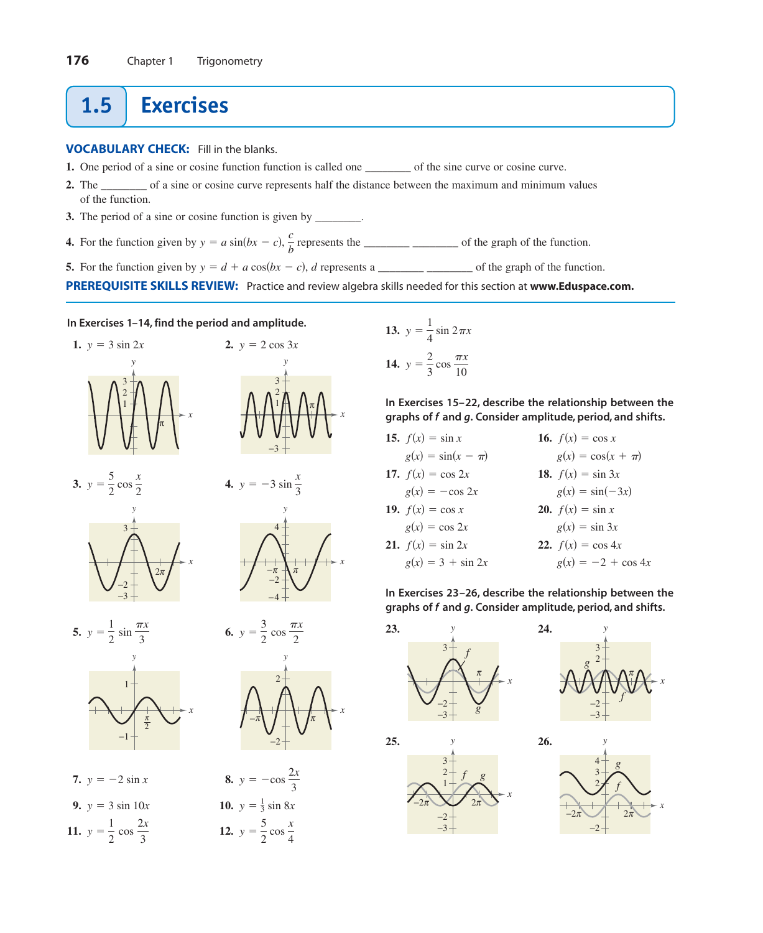# **1.5 Exercises**

**VOCABULARY CHECK:** Fill in the blanks.

- **1.** One period of a sine or cosine function function is called one \_\_\_\_\_\_\_\_ of the sine curve or cosine curve.
- **2.** The \_\_\_\_\_\_\_\_ of a sine or cosine curve represents half the distance between the maximum and minimum values of the function.
- **3.** The period of a sine or cosine function is given by \_\_\_\_\_\_\_\_.
- **4.** For the function given by represents the \_\_\_\_\_\_\_\_ \_\_\_\_\_\_\_\_ of the graph of the function. *c <sup>b</sup> <sup>y</sup> <sup>a</sup>* sin*bx <sup>c</sup>*,
- **5.** For the function given by  $y = d + a \cos(bx c)$ , *d* represents a \_\_\_\_\_\_\_\_\_\_ of the graph of the function.

**PREREQUISITE SKILLS REVIEW:** Practice and review algebra skills needed for this section at **[www.Eduspace.com.](www.Eduspace.com)**

### **In Exercises 1–14, find the period and amplitude.**





3

*y*



**In Exercises 15–22, describe the relationship between the** graphs of f and g. Consider amplitude, period, and shifts.

| 15. $f(x) = \sin x$         | 16. $f(x) = \cos x$         |
|-----------------------------|-----------------------------|
| $g(x) = \sin(x - \pi)$      | $g(x) = \cos(x + \pi)$      |
| 17. $f(x) = \cos 2x$        | <b>18.</b> $f(x) = \sin 3x$ |
| $g(x) = -\cos 2x$           | $g(x) = \sin(-3x)$          |
| 19. $f(x) = \cos x$         | <b>20.</b> $f(x) = \sin x$  |
| $g(x) = \cos 2x$            | $g(x) = \sin 3x$            |
| <b>21.</b> $f(x) = \sin 2x$ | 22. $f(x) = \cos 4x$        |
| $g(x) = 3 + \sin 2x$        | $g(x) = -2 + \cos 4x$       |

**In Exercises 23–26, describe the relationship between the** graphs of f and g. Consider amplitude, period, and shifts.







*x*

*x*





7.  $y = -2 \sin x$ **9.**  $y = 3 \sin 10x$ **11.**  $y = \frac{1}{2} \cos \frac{2x}{3}$  **12.**  $y = \frac{1}{2} \cos \frac{2x}{3}$  **12.**  $y = \frac{5}{2} \cos \frac{x}{4}$  $y = 3 \sin 10x$  **10.**  $y = \frac{1}{3} \sin 8x$  $y = -2 \sin x$  **8.**  $y = -\cos \frac{2x}{3}$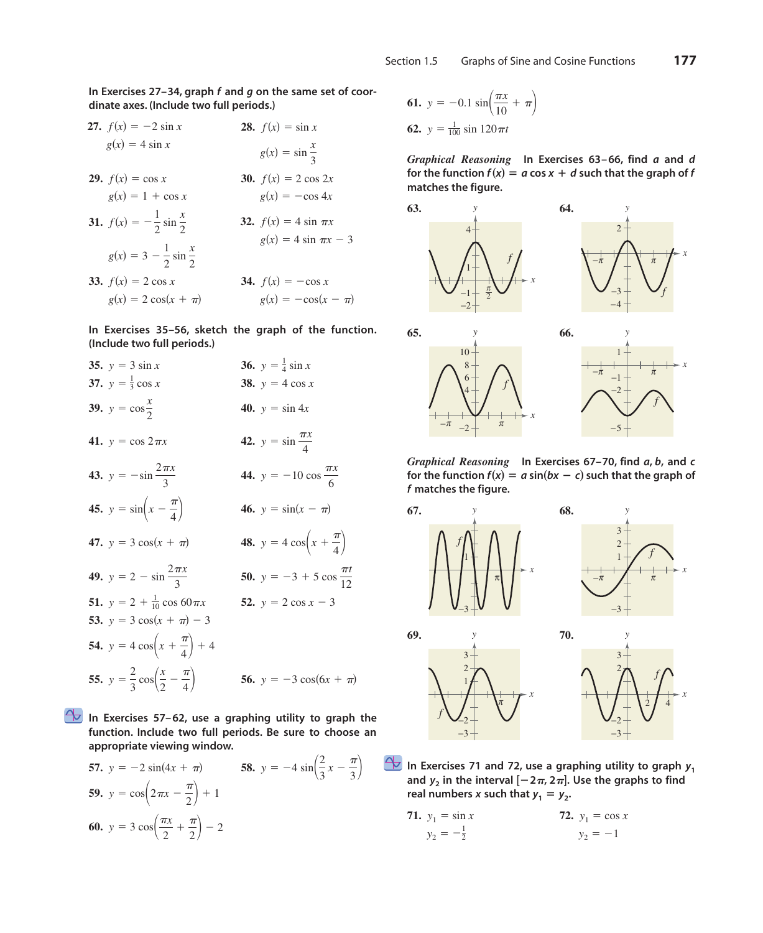In Exercises 27–34, graph f and g on the same set of coor**dinate axes. (Include two full periods.)**

- **28.**  $f(x) = \sin x$ **29.**  $f(x) = \cos x$ **31.**  $f(x) = -\frac{1}{2}\sin{\frac{x}{2}}$ **33.**  $f(x) = 2 \cos x$  $g(x) = 2 \cos(x + \pi)$   $g(x) = -\cos(x - \pi)$ *f<i>(x)* =  $-\cos x$  $g(x) = 3 - \frac{1}{2} \sin \frac{x}{2}$  $g(x) = 1 + \cos x$   $g(x) = -\cos 4x$ *<i>f***</del>** $f(x) = 2 \cos 2x$  $g(x) = \sin \frac{x}{3}$ **27.**  $f(x) = -2 \sin x$  $g(x) = 4 \sin x$ **32.**  $f(x) = 4 \sin \pi x$  $g(x) = 4 \sin \pi x - 3$
- **In Exercises 35–56, sketch the graph of the function. (Include two full periods.)**
- **35.**  $y = 3 \sin x$ **37.**  $y = \frac{1}{3} \cos x$  **38. 39.**  $y = \cos{\frac{x}{2}}$  **40. 41.**  $y = \cos 2\pi x$ **43.**  $y = -\sin \frac{2\pi x}{2}$  **44. 45.**  $y = \sin\left(x - \frac{\pi}{4}\right)$  **46.**  $y = \sin(x - \pi)$ **47.**  $y = 3 \cos(x + \pi)$  **48.**  $y = 4 \cos\left(x + \frac{\pi}{4}\right)$ **49.**  $y = 2 - \sin \frac{2\pi x}{3}$  **50.**  $y = -3 + 5 \cos \frac{\pi t}{12}$ **51.**  $y = 2 + \frac{1}{10} \cos 60 \pi x$  **52.**  $y = 2 \cos x - 3$ **53.**  $y = 3 \cos(x + \pi) - 3$ **54.**  $y = 4 \cos\left(x + \frac{\pi}{4}\right) + 4$ **55.**  $y = \frac{2}{3} \cos\left(\frac{x}{2} - \frac{\pi}{4}\right)$  **56.**  $y = -3 \cos(6x + \pi)$ 3  $y = -\sin \frac{2\pi x}{3}$  **44.**  $y = -10 \cos \frac{\pi x}{6}$ 3 *y* = cos  $2\pi x$  **42.** *y* = sin  $\frac{\pi x}{4}$ 40.  $y = \sin 4x$ **38.**  $y = 4 \cos x$  $y = 3 \sin x$  **36.**  $y = \frac{1}{4} \sin x$

**In Exercises 57–62, use a graphing utility to graph the function. Include two full periods. Be sure to choose an appropriate viewing window.**

**57.** 
$$
y = -2 \sin(4x + \pi)
$$
 **58.**  $y = -4 \sin(\frac{2}{3}x - \frac{\pi}{3})$   
\n**59.**  $y = \cos(2\pi x - \frac{\pi}{2}) + 1$   
\n**60.**  $y = 3 \cos(\frac{\pi x}{2} + \frac{\pi}{2}) - 2$ 

**61.** 
$$
y = -0.1 \sin \left( \frac{\pi x}{10} + \pi \right)
$$
  
**62.**  $y = \frac{1}{100} \sin 120 \pi t$ 

*Graphical Reasoning* In Exercises 63–66, find *a* and *d* for the function  $f(x) = a \cos x + d$  such that the graph of *f* **matches the figure.**



*Graphical Reasoning* In Exercises 67-70, find a, b, and c for the function  $f(x) = a \sin(bx - c)$  such that the graph of **matches the figure.** *f*



In Exercises 71 and 72, use a graphing utility to graph  $y_1$ and  $y_2$  in the interval  $[-2\pi, 2\pi]$ . Use the graphs to find real numbers *x* such that  $y_1 = y_2$ .

**71.** 
$$
y_1 = \sin x
$$
  
\n $y_2 = -\frac{1}{2}$   
\n**72.**  $y_1 = \cos x$   
\n $y_2 = -1$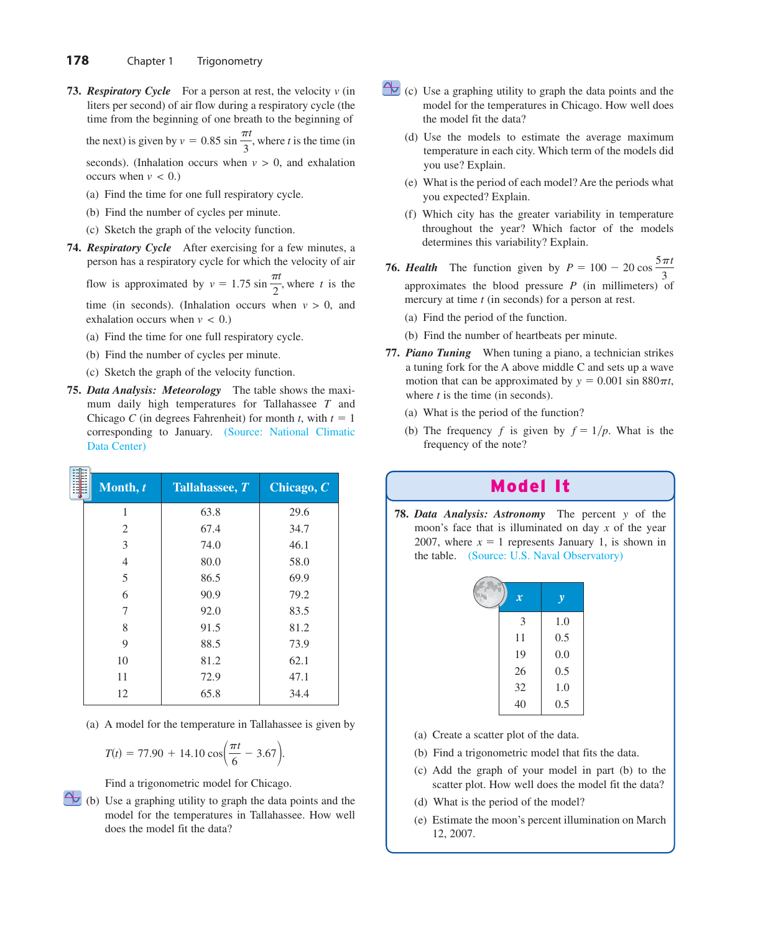**73. Respiratory Cycle** For a person at rest, the velocity v (in liters per second) of air flow during a respiratory cycle (the time from the beginning of one breath to the beginning of

the next) is given by  $v = 0.85 \sin \frac{\pi t}{3}$ , where *t* is the time (in seconds). (Inhalation occurs when  $v > 0$ , and exhalation

occurs when  $v < 0$ .)

- (a) Find the time for one full respiratory cycle.
- (b) Find the number of cycles per minute.
- (c) Sketch the graph of the velocity function.
- **74.** *Respiratory Cycle* After exercising for a few minutes, a person has a respiratory cycle for which the velocity of air

flow is approximated by  $v = 1.75 \sin \frac{\pi t}{2}$ , where t is the time (in seconds). (Inhalation occurs when  $v > 0$ , and

exhalation occurs when  $v < 0$ .) (a) Find the time for one full respiratory cycle.

- (b) Find the number of cycles per minute.
- (c) Sketch the graph of the velocity function.
- **75.** *Data Analysis: Meteorology* The table shows the maximum daily high temperatures for Tallahassee  $T$  and Chicago *C* (in degrees Fahrenheit) for month *t*, with  $t = 1$ corresponding to January. (Source: National Climatic Data Center)

| Month, t       | Tallahassee, T | Chicago, $C$ |
|----------------|----------------|--------------|
| 1              | 63.8           | 29.6         |
| $\overline{c}$ | 67.4           | 34.7         |
| 3              | 74.0           | 46.1         |
| $\overline{4}$ | 80.0           | 58.0         |
| 5              | 86.5           | 69.9         |
| 6              | 90.9           | 79.2         |
| 7              | 92.0           | 83.5         |
| 8              | 91.5           | 81.2         |
| 9              | 88.5           | 73.9         |
| 10             | 81.2           | 62.1         |
| 11             | 72.9           | 47.1         |
| 12             | 65.8           | 34.4         |
|                |                |              |

(a) A model for the temperature in Tallahassee is given by

$$
T(t) = 77.90 + 14.10 \cos\left(\frac{\pi t}{6} - 3.67\right).
$$

Find a trigonometric model for Chicago.

(b) Use a graphing utility to graph the data points and the model for the temperatures in Tallahassee. How well does the model fit the data?

- $\bigcirc$  (c) Use a graphing utility to graph the data points and the model for the temperatures in Chicago. How well does the model fit the data?
	- (d) Use the models to estimate the average maximum temperature in each city. Which term of the models did you use? Explain.
	- (e) What is the period of each model? Are the periods what you expected? Explain.
	- (f) Which city has the greater variability in temperature throughout the year? Which factor of the models determines this variability? Explain.
- **76. Health** The function given by  $P = 100 20 \cos \frac{5\pi t}{2}$ approximates the blood pressure  $P$  (in millimeters) of mercury at time  $t$  (in seconds) for a person at rest. 3
	- (a) Find the period of the function.
	- (b) Find the number of heartbeats per minute.
- **77.** *Piano Tuning* When tuning a piano, a technician strikes a tuning fork for the A above middle C and sets up a wave motion that can be approximated by  $y = 0.001 \sin 880 \pi t$ , where  $t$  is the time (in seconds).
	- (a) What is the period of the function?
	- (b) The frequency f is given by  $f = 1/p$ . What is the frequency of the note?

## Model It

**78. Data Analysis: Astronomy** The percent y of the moon's face that is illuminated on day x of the year 2007, where  $x = 1$  represents January 1, is shown in the table. (Source: U.S. Naval Observatory)

| $\boldsymbol{x}$ | y   |
|------------------|-----|
| 3                | 1.0 |
| 11               | 0.5 |
| 19               | 0.0 |
| 26               | 0.5 |
| 32               | 1.0 |
| 40               | 0.5 |

- (a) Create a scatter plot of the data.
- (b) Find a trigonometric model that fits the data.
- (c) Add the graph of your model in part (b) to the scatter plot. How well does the model fit the data?
- (d) What is the period of the model?
- (e) Estimate the moon's percent illumination on March 12, 2007.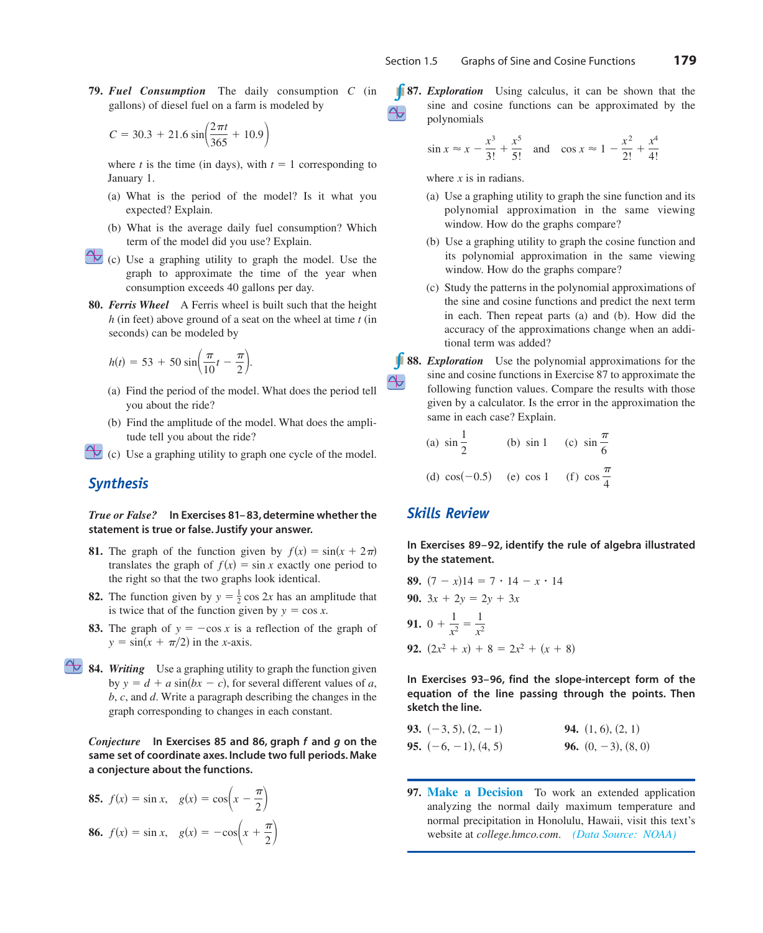**79. Fuel Consumption** The daily consumption C (in gallons) of diesel fuel on a farm is modeled by

$$
C = 30.3 + 21.6 \sin \left( \frac{2\pi t}{365} + 10.9 \right)
$$

where *t* is the time (in days), with  $t = 1$  corresponding to January 1.

- (a) What is the period of the model? Is it what you expected? Explain.
- (b) What is the average daily fuel consumption? Which term of the model did you use? Explain.
- $\leftrightarrow$  (c) Use a graphing utility to graph the model. Use the graph to approximate the time of the year when consumption exceeds 40 gallons per day.
- **80.** *Ferris Wheel* A Ferris wheel is built such that the height *h* (in feet) above ground of a seat on the wheel at time *t* (in seconds) can be modeled by

$$
h(t) = 53 + 50 \sin\left(\frac{\pi}{10}t - \frac{\pi}{2}\right).
$$

- (a) Find the period of the model. What does the period tell you about the ride?
- (b) Find the amplitude of the model. What does the amplitude tell you about the ride?
- $\leftrightarrow$  (c) Use a graphing utility to graph one cycle of the model.

### *Synthesis*

*True or False?* **In Exercises 81– 83, determine whether the statement is true or false. Justify your answer.**

- **81.** The graph of the function given by  $f(x) = \sin(x + 2\pi)$ translates the graph of  $f(x) = \sin x$  exactly one period to the right so that the two graphs look identical.
- **82.** The function given by  $y = \frac{1}{2} \cos 2x$  has an amplitude that is twice that of the function given by  $y = \cos x$ .
- **83.** The graph of  $y = -\cos x$  is a reflection of the graph of  $y = \sin(x + \pi/2)$  in the *x*-axis.
- **84.** *Writing* Use a graphing utility to graph the function given by  $y = d + a \sin(bx - c)$ , for several different values of a, *b*, *c*, and *d*. Write a paragraph describing the changes in the graph corresponding to changes in each constant.

*Conjecture* In Exercises 85 and 86, graph f and g on the **same set of coordinate axes. Include two full periods. Make a conjecture about the functions.**

**85.** 
$$
f(x) = \sin x
$$
,  $g(x) = \cos\left(x - \frac{\pi}{2}\right)$   
\n**86.**  $f(x) = \sin x$ ,  $g(x) = -\cos\left(x + \frac{\pi}{2}\right)$ 

**87.** *Exploration* Using calculus, it can be shown that the sine and cosine functions can be approximated by the polynomials

$$
\sin x \approx x - \frac{x^3}{3!} + \frac{x^5}{5!}
$$
 and  $\cos x \approx 1 - \frac{x^2}{2!} + \frac{x^4}{4!}$ 

where  $x$  is in radians.

- (a) Use a graphing utility to graph the sine function and its polynomial approximation in the same viewing window. How do the graphs compare?
- (b) Use a graphing utility to graph the cosine function and its polynomial approximation in the same viewing window. How do the graphs compare?
- (c) Study the patterns in the polynomial approximations of the sine and cosine functions and predict the next term in each. Then repeat parts (a) and (b). How did the accuracy of the approximations change when an additional term was added?
- **88.** *Exploration* Use the polynomial approximations for the sine and cosine functions in Exercise 87 to approximate the following function values. Compare the results with those given by a calculator. Is the error in the approximation the same in each case? Explain.

(a) 
$$
\sin \frac{1}{2}
$$
 (b)  $\sin 1$  (c)  $\sin \frac{\pi}{6}$   
(d)  $\cos(-0.5)$  (e)  $\cos 1$  (f)  $\cos \frac{\pi}{4}$ 

### *Skills Review*

的

**In Exercises 89–92, identify the rule of algebra illustrated by the statement.**

**89.** 
$$
(7 - x)14 = 7 \cdot 14 - x \cdot 14
$$
  
\n**90.**  $3x + 2y = 2y + 3x$   
\n**91.**  $0 + \frac{1}{x^2} = \frac{1}{x^2}$   
\n**92.**  $(2x^2 + x) + 8 = 2x^2 + (x + 8)$ 

**In Exercises 93–96, find the slope-intercept form of the equation of the line passing through the points. Then sketch the line.**

**93.** 
$$
(-3, 5), (2, -1)
$$
  
\n**94.**  $(1, 6), (2, 1)$   
\n**95.**  $(-6, -1), (4, 5)$   
\n**96.**  $(0, -3), (8, 0)$ 

**97. Make a Decision** To work an extended application analyzing the normal daily maximum temperature and normal precipitation in Honolulu, Hawaii, visit this text's website at *college.hmco.com*. *(Data Source: NOAA)*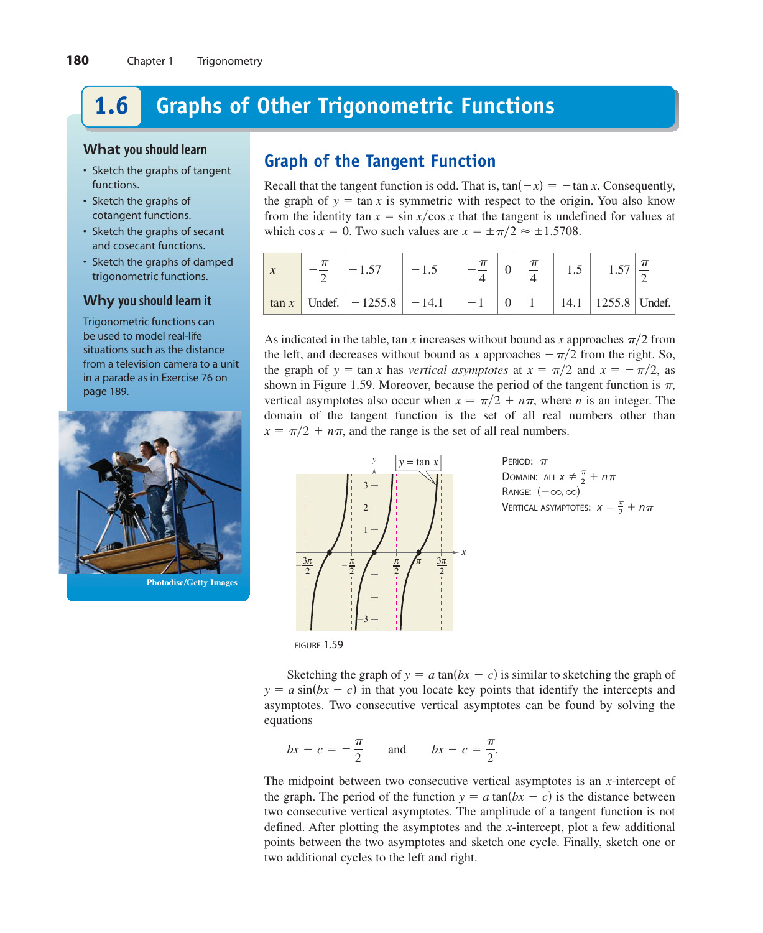### **Graphs of Other Trigonometric Functions 1.6**

### **What you should learn**

- Sketch the graphs of tangent functions.
- Sketch the graphs of cotangent functions.
- Sketch the graphs of secant and cosecant functions.
- Sketch the graphs of damped trigonometric functions.

## **Why you should learn it**

Trigonometric functions can be used to model real-life situations such as the distance from a television camera to a unit in a parade as in Exercise 76 on page 189.



**Photodisc/Getty Images**

# **Graph of the Tangent Function**

Recall that the tangent function is odd. That is,  $tan(-x) = -tan x$ . Consequently, the graph of  $y = \tan x$  is symmetric with respect to the origin. You also know from the identity  $\tan x = \sin x / \cos x$  that the tangent is undefined for values at which cos  $x = 0$ . Two such values are  $x = \pm \pi/2 \approx \pm 1.5708$ .

|          | 157                       | $-1.5$ |      |  |                        |  |
|----------|---------------------------|--------|------|--|------------------------|--|
| $\tan x$ | Undef. $ -1255.8  -14.1 $ |        | $-1$ |  | 14.1   1255.8   Undef. |  |

As indicated in the table, tan x increases without bound as x approaches  $\pi/2$  from the left, and decreases without bound as x approaches  $-\pi/2$  from the right. So, the graph of  $y = \tan x$  has *vertical asymptotes* at  $x = \pi/2$  and  $x = -\pi/2$ , as shown in Figure 1.59. Moreover, because the period of the tangent function is  $\pi$ , vertical asymptotes also occur when  $x = \pi/2 + n\pi$ , where *n* is an integer. The domain of the tangent function is the set of all real numbers other than  $x = \pi/2 + n\pi$ , and the range is the set of all real numbers.



PERIOD:  $\pi$ Domain: all  $x \neq \frac{\pi}{2} + n\pi$ Range:  $(-\infty, \infty)$ Vertical asymptotes:  $x = \frac{\pi}{2} + n\pi$ 

Sketching the graph of  $y = a \tan(bx - c)$  is similar to sketching the graph of  $y = a \sin(bx - c)$  in that you locate key points that identify the intercepts and asymptotes. Two consecutive vertical asymptotes can be found by solving the equations

$$
bx - c = -\frac{\pi}{2} \quad \text{and} \quad bx - c = \frac{\pi}{2}.
$$

The midpoint between two consecutive vertical asymptotes is an *-intercept of* the graph. The period of the function  $y = a \tan(bx - c)$  is the distance between two consecutive vertical asymptotes. The amplitude of a tangent function is not defined. After plotting the asymptotes and the *x*-intercept, plot a few additional points between the two asymptotes and sketch one cycle. Finally, sketch one or two additional cycles to the left and right.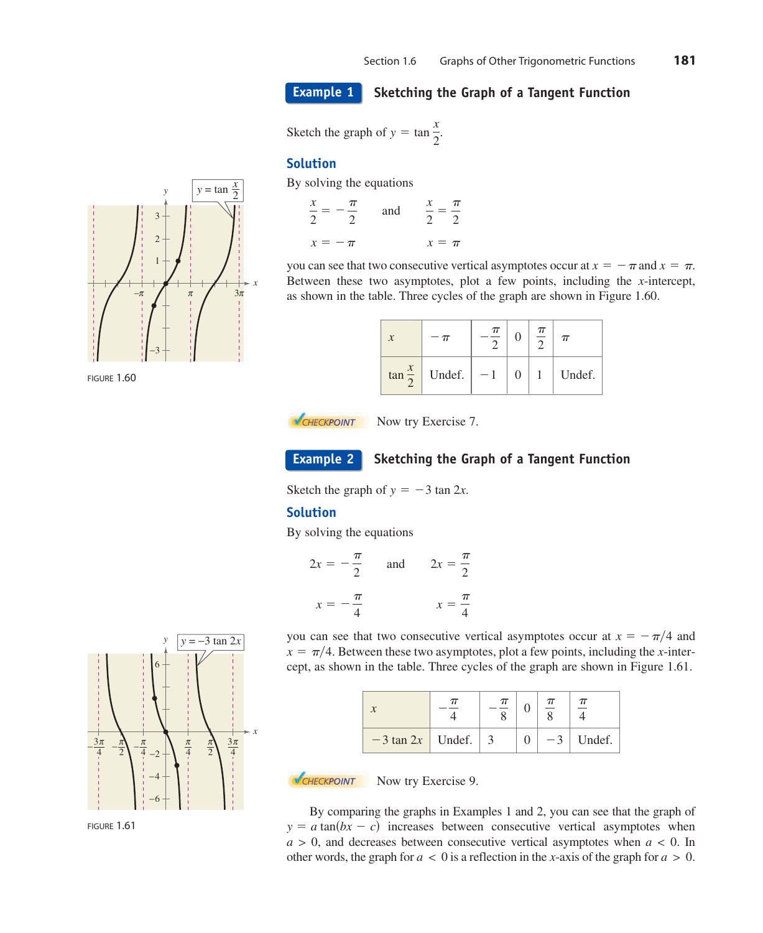**Example 1**

### **Sketching the Graph of a Tangent Function**

Sketch the graph of  $y = \tan \frac{x}{2}$  $\frac{1}{2}$ .

### **Solution**

By solving the equations

| $\mathcal{X}$<br>2 | $\pi$ | and | x.<br>$2^{\circ}$ | $\pi$ |
|--------------------|-------|-----|-------------------|-------|
| $x=-\pi$           |       |     | $x = \pi$         |       |

you can see that two consecutive vertical asymptotes occur at  $x = -\pi$  and  $x = \pi$ . Between these two asymptotes, plot a few points, including the  $x$ -intercept, as shown in the table. Three cycles of the graph are shown in Figure 1.60.

| $\boldsymbol{\chi}$ |        | $\pi$ |   | $\pi$ | $\pi$  |
|---------------------|--------|-------|---|-------|--------|
| $\tan \frac{x}{2}$  | Undef. | $-1$  | 0 |       | Undef. |



Now try Exercise 7.

### **Example 2**

**Sketching the Graph of a Tangent Function**

Sketch the graph of  $y = -3 \tan 2x$ .

### **Solution**

By solving the equations

| $\frac{\pi}{4}$<br>$2x =$<br>2 | and | $\frac{\pi}{\pi}$<br>$2x =$ |
|--------------------------------|-----|-----------------------------|
| π<br>$\mathcal{X}$             |     | $\frac{\pi}{4}$             |

you can see that two consecutive vertical asymptotes occur at  $x = -\pi/4$  and  $x = \pi/4$ . Between these two asymptotes, plot a few points, including the *x*-intercept, as shown in the table. Three cycles of the graph are shown in Figure 1.61.

|                          | $\pi$ |      |        |
|--------------------------|-------|------|--------|
| $-3$ tan 2x   Undef.   3 |       | $-3$ | Undef. |

### **NOW EXERCISE 9.** Now try Exercise 9.

By comparing the graphs in Examples 1 and 2, you can see that the graph of  $y = a \tan(bx - c)$  increases between consecutive vertical asymptotes when  $a > 0$ , and decreases between consecutive vertical asymptotes when  $a < 0$ . In other words, the graph for  $a < 0$  is a reflection in the *x*-axis of the graph for  $a > 0$ .



FIGURE 1.60



FIGURE 1.61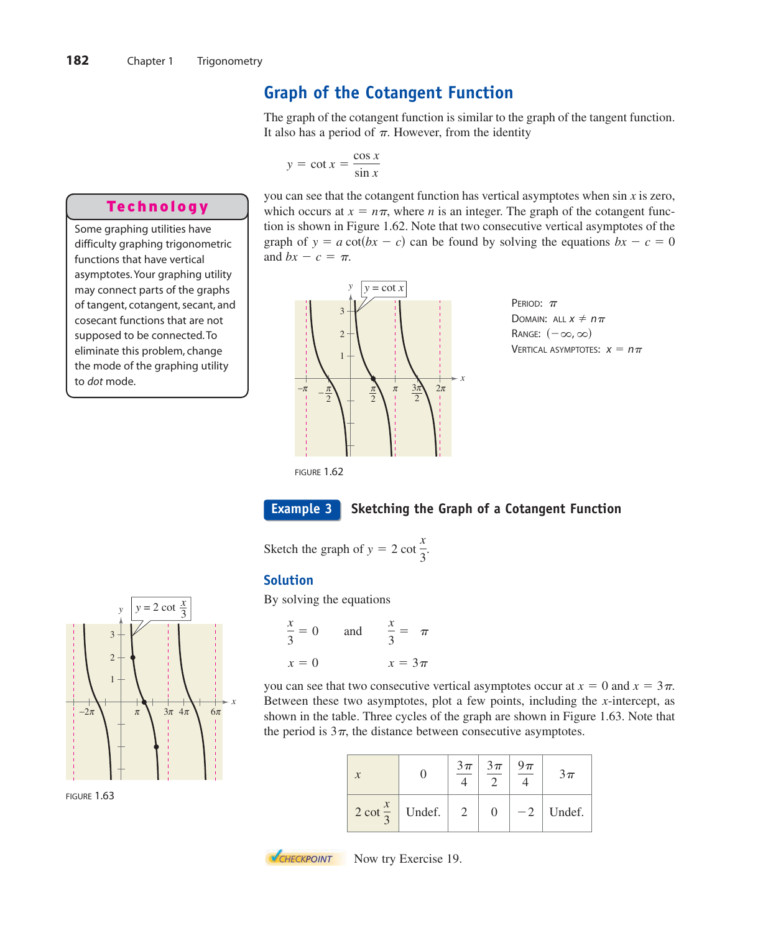# **Graph of the Cotangent Function**

The graph of the cotangent function is similar to the graph of the tangent function. It also has a period of  $\pi$ . However, from the identity

$$
y = \cot x = \frac{\cos x}{\sin x}
$$

## Technology

Some graphing utilities have difficulty graphing trigonometric functions that have vertical asymptotes. Your graphing utility may connect parts of the graphs of tangent, cotangent, secant, and cosecant functions that are not supposed to be connected. To eliminate this problem, change the mode of the graphing utility to dot mode.

you can see that the cotangent function has vertical asymptotes when  $\sin x$  is zero, which occurs at  $x = n\pi$ , where *n* is an integer. The graph of the cotangent function is shown in Figure 1.62. Note that two consecutive vertical asymptotes of the graph of  $y = a \cot(bx - c)$  can be found by solving the equations  $bx - c = 0$ and  $bx - c = \pi$ .





FIGURE 1.62



### **Sketching the Graph of a Cotangent Function**

Sketch the graph of  $y = 2 \cot \frac{x}{2}$  $\frac{1}{3}$ 

### **Solution**

By solving the equations

$$
\frac{x}{3} = 0 \qquad \text{and} \qquad \frac{x}{3} = \pi
$$

$$
x = 0 \qquad x = 3\pi
$$

you can see that two consecutive vertical asymptotes occur at  $x = 0$  and  $x = 3\pi$ . Between these two asymptotes, plot a few points, including the *x*-intercept, as shown in the table. Three cycles of the graph are shown in Figure 1.63. Note that the period is  $3\pi$ , the distance between consecutive asymptotes.

| $\mathbf{r}$ |                             | $3\pi$ | $3\pi$ | 9 $\pi$ | $3\pi$ |
|--------------|-----------------------------|--------|--------|---------|--------|
|              | $2 \cot \frac{x}{2}$ Undef. |        |        | $-2$    | Undef. |



FIGURE 1.63



**NOW CHECKPOINT** Now try Exercise 19.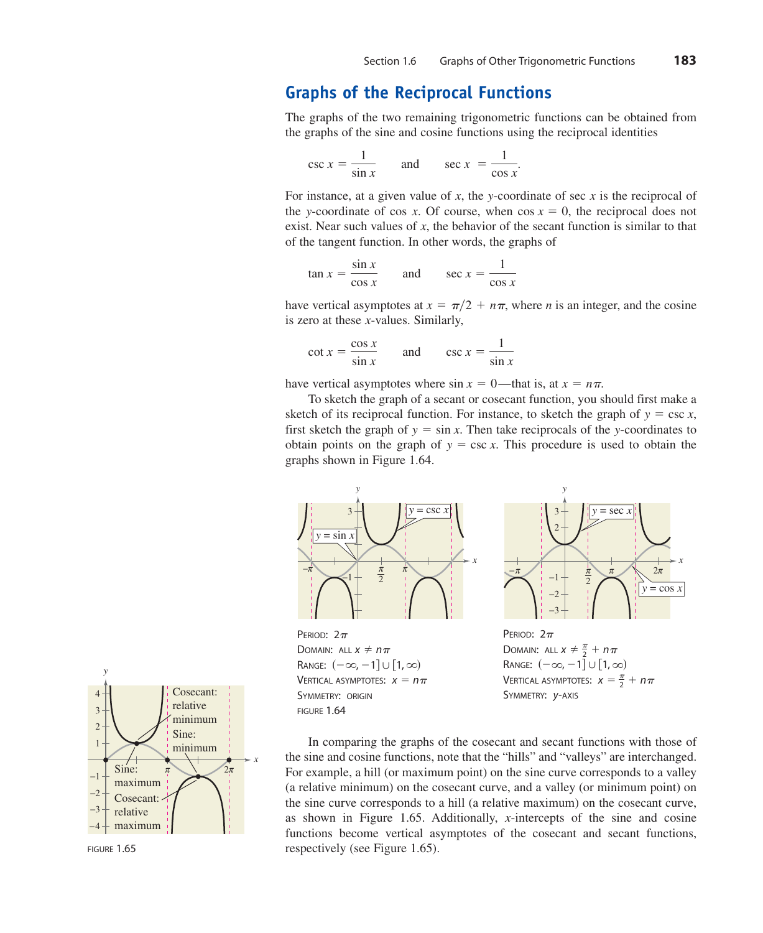# **Graphs of the Reciprocal Functions**

The graphs of the two remaining trigonometric functions can be obtained from the graphs of the sine and cosine functions using the reciprocal identities

$$
\csc x = \frac{1}{\sin x} \qquad \text{and} \qquad \sec x = \frac{1}{\cos x}.
$$

For instance, at a given value of x, the y-coordinate of sec x is the reciprocal of the y-coordinate of cos x. Of course, when  $\cos x = 0$ , the reciprocal does not exist. Near such values of x, the behavior of the secant function is similar to that of the tangent function. In other words, the graphs of

$$
an x = \frac{\sin x}{\cos x}
$$
 and  $\sec x = \frac{1}{\cos x}$ 

have vertical asymptotes at  $x = \pi/2 + n\pi$ , where *n* is an integer, and the cosine is zero at these *x*-values. Similarly,

$$
\cot x = \frac{\cos x}{\sin x} \qquad \text{and} \qquad \csc x = \frac{1}{\sin x}
$$

have vertical asymptotes where  $\sin x = 0$ —that is, at  $x = n\pi$ .

To sketch the graph of a secant or cosecant function, you should first make a sketch of its reciprocal function. For instance, to sketch the graph of  $y = \csc x$ , first sketch the graph of  $y = \sin x$ . Then take reciprocals of the y-coordinates to obtain points on the graph of  $y = \csc x$ . This procedure is used to obtain the graphs shown in Figure 1.64.



PERIOD:  $2\pi$ Domain: all  $x \neq n\pi$ Range:  $(-\infty, -1] \cup [1, \infty)$ Vertical asymptotes:  $x = n\pi$ SYMMETRY: ORIGIN FIGURE 1.64





In comparing the graphs of the cosecant and secant functions with those of the sine and cosine functions, note that the "hills" and "valleys" are interchanged. For example, a hill (or maximum point) on the sine curve corresponds to a valley (a relative minimum) on the cosecant curve, and a valley (or minimum point) on the sine curve corresponds to a hill (a relative maximum) on the cosecant curve, as shown in Figure 1.65. Additionally, *x*-intercepts of the sine and cosine functions become vertical asymptotes of the cosecant and secant functions, respectively (see Figure 1.65).



FIGURE 1.65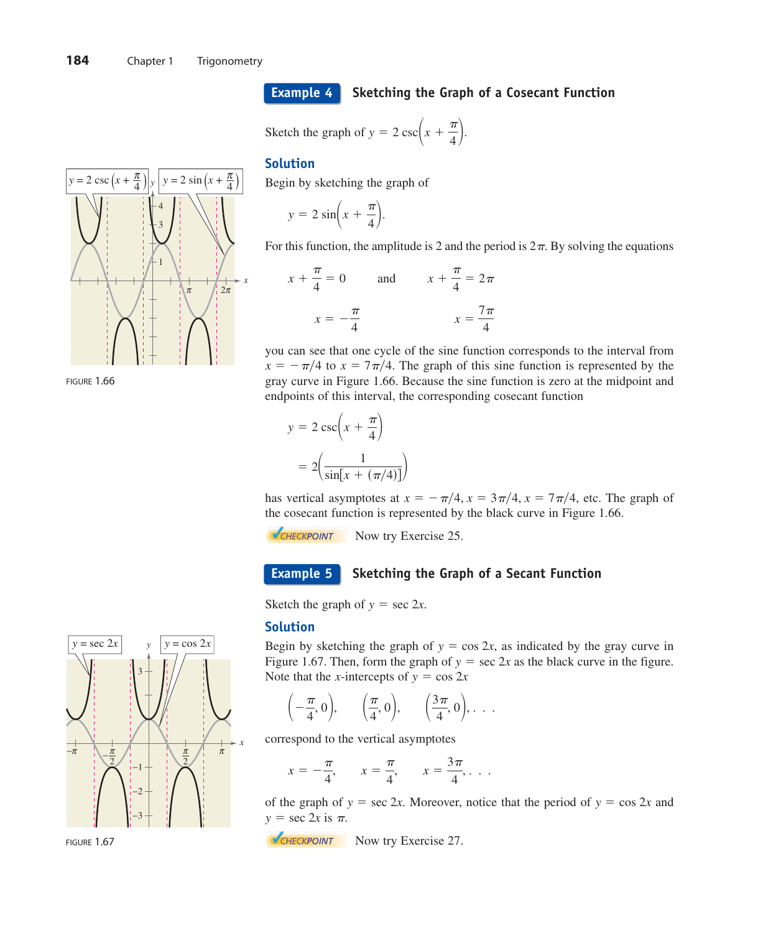### **Example 4**

### **Sketching the Graph of a Cosecant Function**

Sketch the graph of  $y = 2 \csc\left(x + \frac{\pi}{4}\right)$ .

### **Solution**

Begin by sketching the graph of

$$
y = 2\sin\left(x + \frac{\pi}{4}\right).
$$

For this function, the amplitude is 2 and the period is  $2\pi$ . By solving the equations

$$
x + \frac{\pi}{4} = 0 \qquad \text{and} \qquad x + \frac{\pi}{4} = 2\pi
$$

$$
x = -\frac{\pi}{4} \qquad \qquad x = \frac{7\pi}{4}
$$

you can see that one cycle of the sine function corresponds to the interval from  $x = -\frac{\pi}{4}$  to  $x = 7\frac{\pi}{4}$ . The graph of this sine function is represented by the gray curve in Figure 1.66. Because the sine function is zero at the midpoint and endpoints of this interval, the corresponding cosecant function

$$
y = 2 \csc\left(x + \frac{\pi}{4}\right)
$$

$$
= 2\left(\frac{1}{\sin\left(x + \left(\frac{\pi}{4}\right)\right)}\right)
$$

has vertical asymptotes at  $x = -\frac{\pi}{4}$ ,  $x = \frac{3\pi}{4}$ ,  $x = \frac{7\pi}{4}$ , etc. The graph of the cosecant function is represented by the black curve in Figure 1.66.

**NOW CHECKPOINT** Now try Exercise 25.

#### **Sketching the Graph of a Secant Function Example 5**

Sketch the graph of  $y = \sec 2x$ .

### **Solution**

Begin by sketching the graph of  $y = \cos 2x$ , as indicated by the gray curve in Figure 1.67. Then, form the graph of  $y = \sec 2x$  as the black curve in the figure. Note that the *x*-intercepts of  $y = \cos 2x$ 

$$
\left(-\frac{\pi}{4},0\right), \quad \left(\frac{\pi}{4},0\right), \quad \left(\frac{3\pi}{4},0\right), \ldots
$$

correspond to the vertical asymptotes

$$
x = -\frac{\pi}{4}
$$
,  $x = \frac{\pi}{4}$ ,  $x = \frac{3\pi}{4}$ , ...

of the graph of  $y = \sec 2x$ . Moreover, notice that the period of  $y = \cos 2x$  and  $y = \sec 2x$  is  $\pi$ .

Now try Exercise 27.







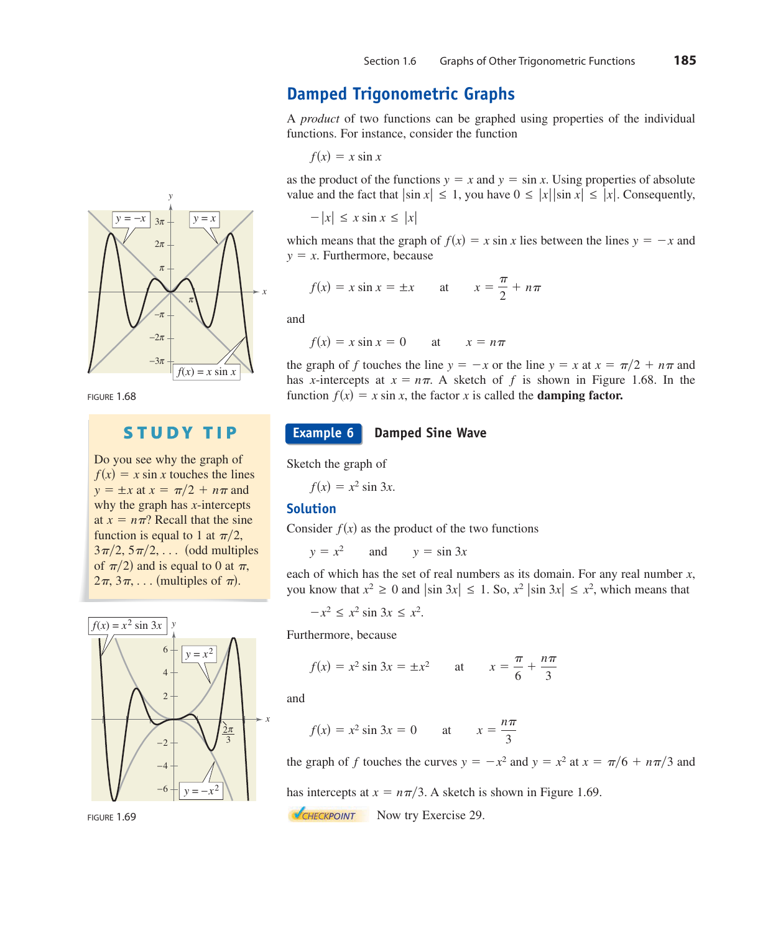# **Damped Trigonometric Graphs**

A *product* of two functions can be graphed using properties of the individual functions. For instance, consider the function

 $f(x) = x \sin x$ 

as the product of the functions  $y = x$  and  $y = \sin x$ . Using properties of absolute value and the fact that  $|\sin x| \leq 1$ , you have  $0 \leq |x| |\sin x| \leq |x|$ . Consequently,

$$
-|x| \le x \sin x \le |x|
$$

which means that the graph of  $f(x) = x \sin x$  lies between the lines  $y = -x$  and  $y = x$ . Furthermore, because

$$
f(x) = x \sin x = \pm x \qquad \text{at} \qquad x = \frac{\pi}{2} + n\pi
$$

and

at  $x = n\pi$  $f(x) = x \sin x = 0$ 

the graph of f touches the line  $y = -x$  or the line  $y = x$  at  $x = \pi/2 + n\pi$  and has *x*-intercepts at  $x = n\pi$ . A sketch of f is shown in Figure 1.68. In the function  $f(x) = x \sin x$ , the factor x is called the **damping factor.** 

#### **Damped Sine Wave Example 6**

Sketch the graph of

 $f(x) = x^2 \sin 3x$ .

### **Solution**

Consider  $f(x)$  as the product of the two functions

and  $y = x^2$  and  $y = \sin 3x$ 

each of which has the set of real numbers as its domain. For any real number *x*, you know that  $x^2 \ge 0$  and  $|\sin 3x| \le 1$ . So,  $x^2 |\sin 3x| \le x^2$ , which means that

 $-x^2 \le x^2 \sin 3x \le x^2$ .

ore, because

$$
f(x) = x^2 \sin 3x = \pm x^2
$$
 at  $x = \frac{\pi}{6} + \frac{n\pi}{3}$ 

$$
f(x) = x^2 \sin 3x = 0 \qquad \text{at} \qquad x = \frac{n\pi}{3}
$$

the graph of f touches the curves  $y = -x^2$  and  $y = x^2$  at  $x = \pi/6 + n\pi/3$  and

has intercepts at  $x = n\pi/3$ . A sketch is shown in Figure 1.69.

**NOW CHECKPOINT** Now try Exercise 29.



Do you see why the graph of 
$$
f(x) = x \sin x
$$
 touches the lines  $y = \pm x$  at  $x = \pi/2 + n\pi$  and why the graph has *x*-intercepts at  $x = n\pi$ ? Recall that the sine function is equal to 1 at  $\pi/2$ ,

 $f(x) = x^2 \sin 3x$  *y* funct  $3\pi/2, 5\pi/2, \ldots$  (odd multiples of  $\pi/2$ ) and is equal to 0 at  $\pi$ ,  $2\pi$ ,  $3\pi$ , ... (multiples of  $\pi$ ).

> −4 −6

 $y = -x^2$ 



*y*

FIGURE 1.68

why

 $y =$ 

 $f(x)$ 

*x at x* 

# **STUDY TIP**

$$
f(x) =
$$
\n
$$
f(x) =
$$
\n
$$
f(x) =
$$
\n
$$
f(x) =
$$
\n
$$
f(x) =
$$
\n
$$
f(x) =
$$
\n
$$
f(x) =
$$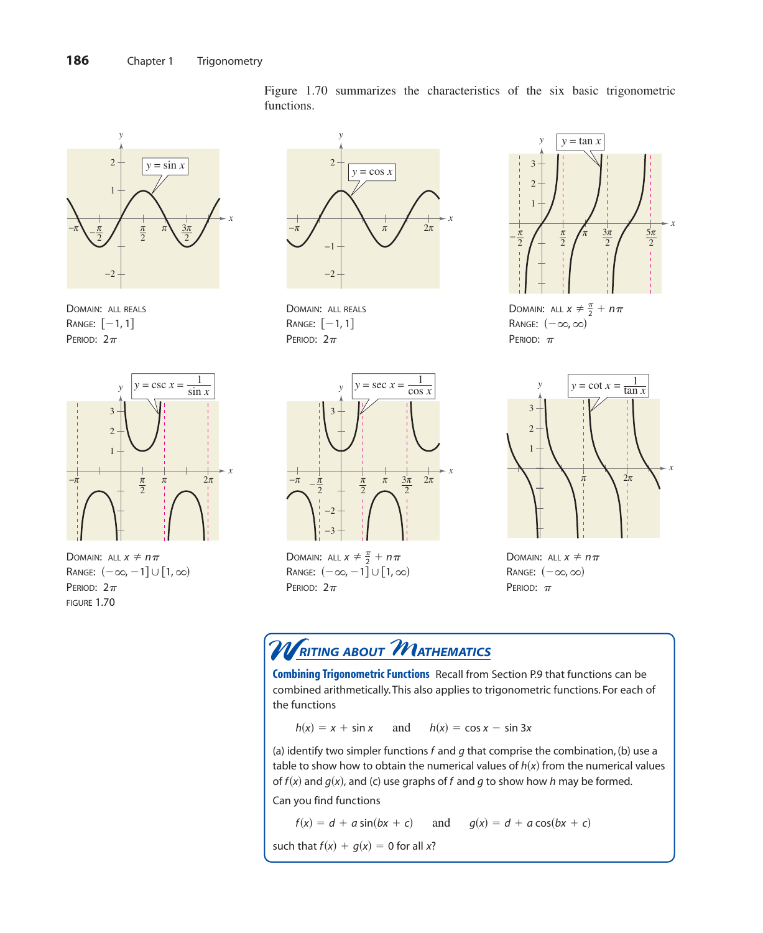

DOMAIN: ALL REALS  $\,$ Range:  $\,$   $[-1, 1]$ PERIOD:  $2\pi$ 



Domain: all  $x \neq n\pi$ Range:  $(-\infty, -1] \cup [1, \infty)$ PERIOD:  $2\pi$ FIGURE 1.70

Figure 1.70 summarizes the characteristics of the six basic trigonometric functions.



DOMAIN: ALL REALS  $Range: [-1, 1]$ PERIOD:  $2\pi$ 



Domain: all  $x \neq \frac{\pi}{2} + n\pi$ Range:  $(-\infty, -1] \cup [1, \infty)$ PERIOD:  $2\pi$ 



DOMAIN: ALL  $x \neq \frac{\pi}{2} + n\pi$ Range:  $(-\infty, \infty)$ PERIOD:  $\pi$ 



DOMAIN: ALL  $x \neq n\pi$ Range:  $(-\infty, \infty)$ PERIOD:  $\pi$ 

# $\boldsymbol{\mathcal{W}}$ RITING ABOUT  $\boldsymbol{\mathcal{M}}$ ATHEMATICS

**Combining Trigonometric Functions** Recall from Section P.9 that functions can be combined arithmetically. This also applies to trigonometric functions. For each of the functions

and  $h(x) = x + \sin x$  and  $h(x) = \cos x - \sin 3x$ 

(a) identify two simpler functions  $f$  and  $g$  that comprise the combination, (b) use a table to show how to obtain the numerical values of  $h(x)$  from the numerical values of  $f(x)$  and  $g(x)$ , and (c) use graphs of f and g to show how h may be formed. Can you find functions

 $f(x) = d + a \sin(bx + c)$  and  $g(x) = d + a \cos(bx + c)$ 

such that  $f(x) + g(x) = 0$  for all x?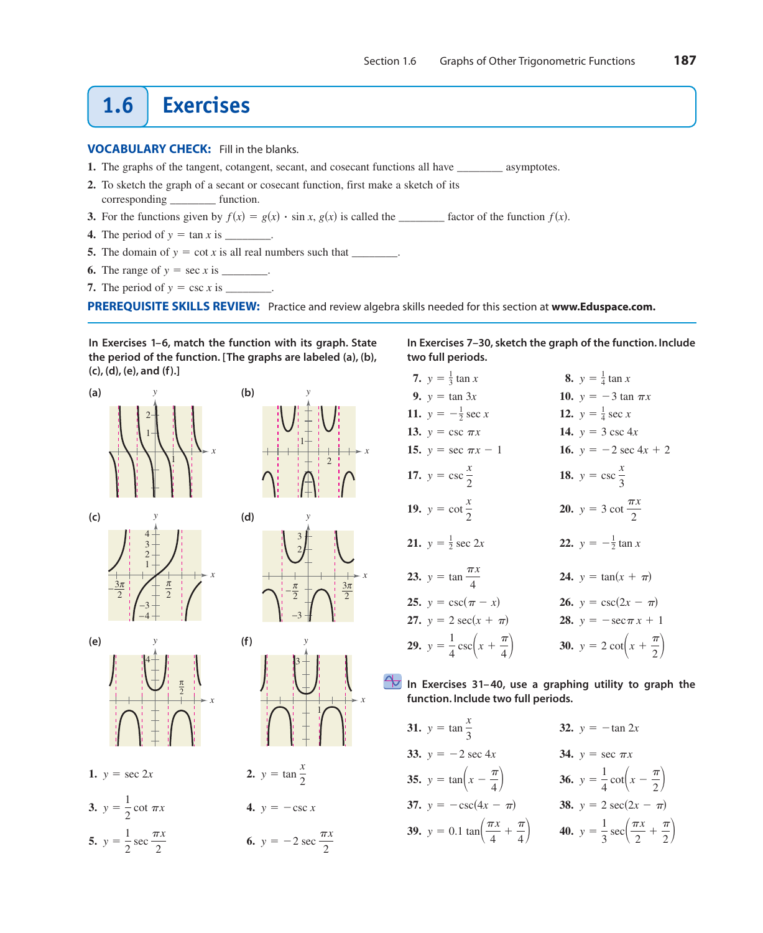# **1.6 Exercises**

### **VOCABULARY CHECK:** Fill in the blanks.

- **1.** The graphs of the tangent, cotangent, secant, and cosecant functions all have \_\_\_\_\_\_\_\_ asymptotes.
- **2.** To sketch the graph of a secant or cosecant function, first make a sketch of its corresponding function.
- **3.** For the functions given by  $f(x) = g(x) \cdot \sin x$ ,  $g(x)$  is called the \_\_\_\_\_\_\_\_\_ factor of the function  $f(x)$ .
- **4.** The period of  $y = \tan x$  is \_\_\_\_\_\_\_\_.
- **5.** The domain of  $y = \cot x$  is all real numbers such that \_\_\_\_\_\_\_\_.
- **6.** The range of  $y = \sec x$  is \_\_\_\_\_\_\_\_.
- **7.** The period of  $y = \csc x$  is \_\_\_\_\_\_\_.

**PREREQUISITE SKILLS REVIEW:** Practice and review algebra skills needed for this section at **[www.Eduspace.com.](www.Eduspace.com)**

**In Exercises 1–6, match the function with its graph. State the period of the function. [The graphs are labeled (a), (b), (c), (d), (e), and (f).]**





**1.**  $y = \sec 2x$ 







3

*y*

1

*x*



*y* = sec 2*x* 2. *y* = tan  $\frac{x}{2}$ 

**3.**  $y = \frac{1}{2} \cot \pi x$  **4.**  $y = -\csc x$ 

**5.**  $y = \frac{1}{2} \sec \frac{\pi x}{2}$  **6.**  $y = \frac{1}{2} \sec \frac{\pi x}{2}$  **6.**  $y = -2 \sec \frac{\pi x}{2}$  **In Exercises 7–30, sketch the graph of the function. Include two full periods.**

| 7. $y = \frac{1}{3} \tan x$                         | 8. $y = \frac{1}{4} \tan x$                           |
|-----------------------------------------------------|-------------------------------------------------------|
| 9. $y = \tan 3x$                                    | <b>10.</b> $y = -3 \tan \pi x$                        |
| 11. $y = -\frac{1}{2} \sec x$                       | 12. $y = \frac{1}{4} \sec x$                          |
| 13. $y = \csc \pi x$                                | 14. $y = 3 \csc 4x$                                   |
| 15. $y = \sec \pi x - 1$                            | 16. $y = -2 \sec 4x + 2$                              |
| 17. $y = \csc \frac{x}{2}$                          | 18. $y = \csc \frac{x}{3}$                            |
| 19. $y = \cot \frac{x}{2}$                          | 20. $y = 3 \cot \frac{\pi x}{2}$                      |
| 21. $y = \frac{1}{2} \sec 2x$                       | <b>22.</b> $y = -\frac{1}{2} \tan x$                  |
| <b>23.</b> $y = \tan \frac{\pi x}{4}$               | <b>24.</b> $y = \tan(x + \pi)$                        |
| 25. $y = \csc(\pi - x)$                             | <b>26.</b> $y = \csc(2x - \pi)$                       |
| 27. $y = 2 \sec(x + \pi)$                           | 28. $y = -\sec \pi x + 1$                             |
| <b>29.</b> $y = \frac{1}{4}\csc(x + \frac{\pi}{4})$ | <b>30.</b> $y = 2 \cot\left(x + \frac{\pi}{2}\right)$ |

### **In Exercises 31– 40, use a graphing utility to graph the function. Include two full periods.**

| 31. $y = \tan \frac{x}{3}$                                               | 32. $y = -\tan 2x$                                                    |
|--------------------------------------------------------------------------|-----------------------------------------------------------------------|
| 33. $y = -2 \sec 4x$                                                     | 34. $y = \sec \pi x$                                                  |
| <b>35.</b> $y = \tan\left(x - \frac{\pi}{4}\right)$                      | <b>36.</b> $y = \frac{1}{4} \cot\left(x - \frac{\pi}{2}\right)$       |
| 37. $y = -\csc(4x - \pi)$                                                | <b>38.</b> $y = 2 \sec(2x - \pi)$                                     |
| <b>39.</b> $y = 0.1 \tan \left( \frac{\pi x}{4} + \frac{\pi}{4} \right)$ | 40. $y = \frac{1}{3}\sec\left(\frac{\pi x}{2} + \frac{\pi}{2}\right)$ |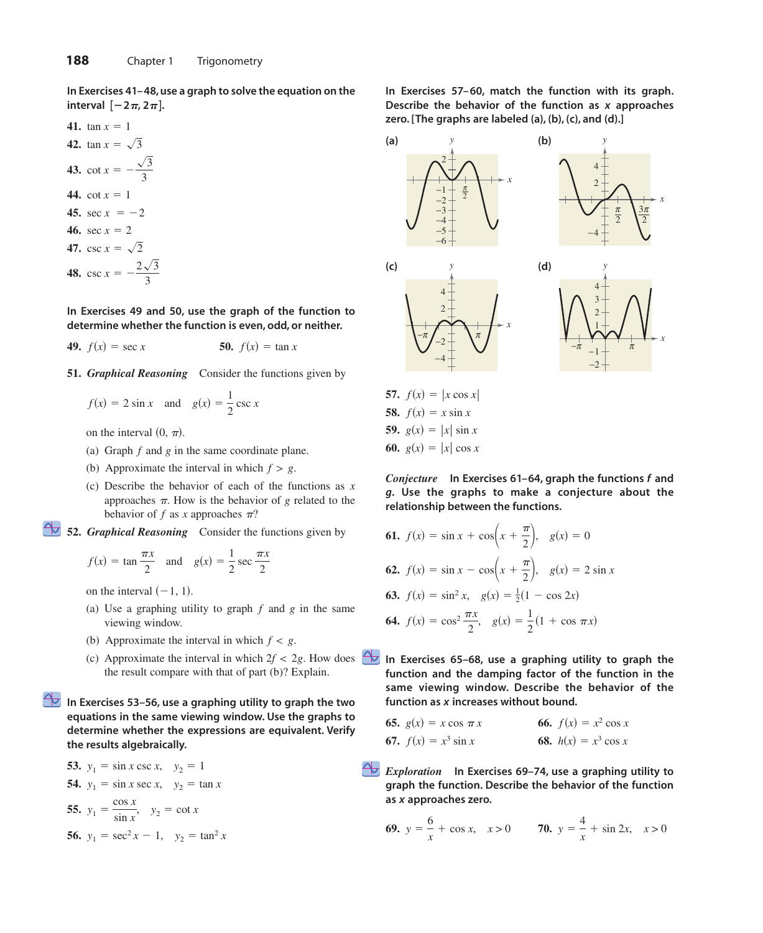**In Exercises 41– 48, use a graph to solve the equation on the**  $[ -2\pi, 2\pi ]$ .

41. 
$$
\tan x = 1
$$
  
\n42.  $\tan x = \sqrt{3}$   
\n43.  $\cot x = -\frac{\sqrt{3}}{3}$   
\n44.  $\cot x = 1$   
\n45.  $\sec x = -2$   
\n46.  $\sec x = 2$   
\n47.  $\csc x = \sqrt{2}$   
\n48.  $\csc x = -\frac{2\sqrt{3}}{3}$ 

**In Exercises 49 and 50, use the graph of the function to determine whether the function is even, odd, or neither.**

**49.** 
$$
f(x) = \sec x
$$
 **50.**  $f(x) = \tan x$ 

**51.** *Graphical Reasoning* Consider the functions given by

$$
f(x) = 2 \sin x \quad \text{and} \quad g(x) = \frac{1}{2} \csc x
$$

on the interval  $(0, \pi)$ .

- (a) Graph  $f$  and  $g$  in the same coordinate plane.
- (b) Approximate the interval in which  $f > g$ .
- (c) Describe the behavior of each of the functions as *x* approaches  $\pi$ . How is the behavior of g related to the behavior of  $f$  as  $x$  approaches  $\pi$ ?

**52.** *Graphical Reasoning* Consider the functions given by

$$
f(x) = \tan \frac{\pi x}{2}
$$
 and  $g(x) = \frac{1}{2} \sec \frac{\pi x}{2}$ 

on the interval  $(-1, 1)$ .

- (a) Use a graphing utility to graph  $f$  and  $g$  in the same viewing window.
- (b) Approximate the interval in which  $f < g$ .
- (c) Approximate the interval in which  $2f < 2g$ . How does the result compare with that of part (b)? Explain.

 $\Leftrightarrow$ **In Exercises 53–56, use a graphing utility to graph the two equations in the same viewing window. Use the graphs to determine whether the expressions are equivalent. Verify the results algebraically.**

53. 
$$
y_1 = \sin x \csc x
$$
,  $y_2 = 1$   
54.  $y_1 = \sin x \sec x$ ,  $y_2 = \tan x$   
55.  $y_1 = \frac{\cos x}{\sin x}$ ,  $y_2 = \cot x$   
56.  $y_1 = \sec^2 x - 1$ ,  $y_2 = \tan^2 x$ 

**In Exercises 57– 60, match the function with its graph.** Describe the behavior of the function as x approaches **zero. [The graphs are labeled (a), (b), (c), and (d).]**



*Conjecture* In Exercises 61–64, graph the functions f and **Use the graphs to make a conjecture about the** *g***. relationship between the functions.**

**61.** 
$$
f(x) = \sin x + \cos\left(x + \frac{\pi}{2}\right), \quad g(x) = 0
$$
  
\n**62.**  $f(x) = \sin x - \cos\left(x + \frac{\pi}{2}\right), \quad g(x) = 2 \sin x$   
\n**63.**  $f(x) = \sin^2 x, \quad g(x) = \frac{1}{2}(1 - \cos 2x)$   
\n**64.**  $f(x) = \cos^2 \frac{\pi x}{2}, \quad g(x) = \frac{1}{2}(1 + \cos \pi x)$ 

**60.**  $g(x) = |x| \cos x$ 

**In Exercises 65–68, use a graphing utility to graph the function and the damping factor of the function in the same viewing window. Describe the behavior of the** function as x increases without bound.

**65.** 
$$
g(x) = x \cos \pi x
$$
  
\n**66.**  $f(x) = x^2 \cos x$   
\n**67.**  $f(x) = x^3 \sin x$   
\n**68.**  $h(x) = x^3 \cos x$ 

*Exploration* In Exercises 69–74, use a graphing utility to **graph the function. Describe the behavior of the function as approaches zero.** *x*

**69.** 
$$
y = \frac{6}{x} + \cos x, \quad x > 0
$$
 **70.**  $y = \frac{4}{x} + \sin 2x, \quad x > 0$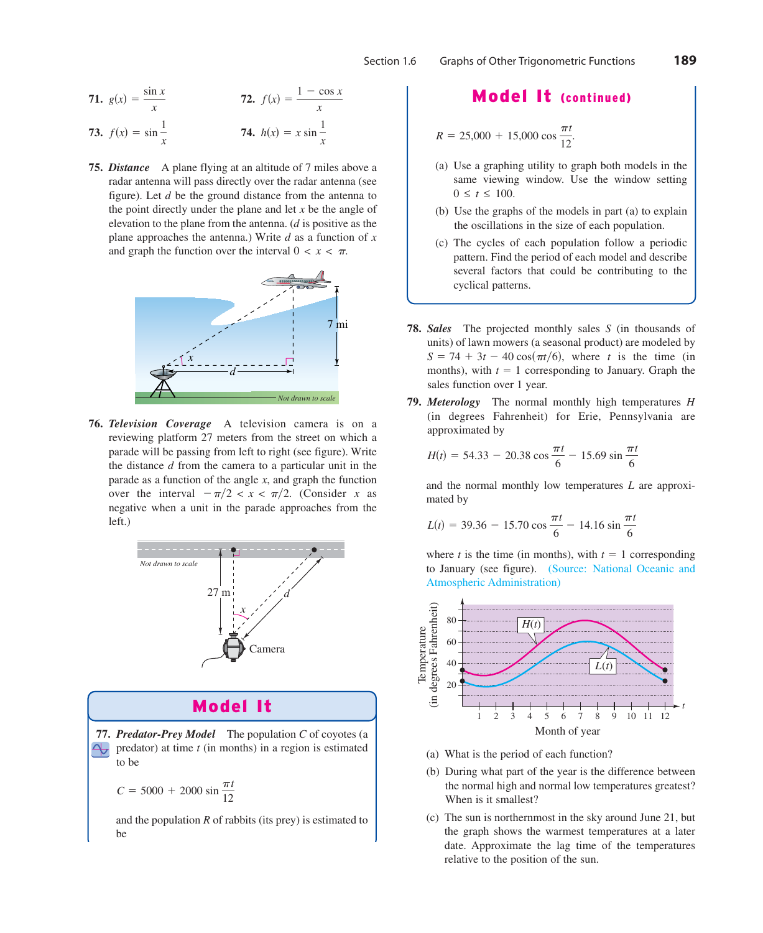**71.** 
$$
g(x) = \frac{\sin x}{x}
$$
  
\n**72.**  $f(x) = \frac{1 - \cos x}{x}$   
\n**73.**  $f(x) = \sin \frac{1}{x}$   
\n**74.**  $h(x) = x \sin \frac{1}{x}$ 

**75.** *Distance* A plane flying at an altitude of 7 miles above a radar antenna will pass directly over the radar antenna (see figure). Let *d* be the ground distance from the antenna to the point directly under the plane and let  $x$  be the angle of elevation to the plane from the antenna. (*d* is positive as the plane approaches the antenna.) Write  $d$  as a function of  $x$ and graph the function over the interval  $0 < x < \pi$ .



**76.** *Television Coverage* A television camera is on a reviewing platform 27 meters from the street on which a parade will be passing from left to right (see figure). Write the distance d from the camera to a particular unit in the parade as a function of the angle  $x$ , and graph the function over the interval  $-\pi/2 < x < \pi/2$ . *(Consider x as* negative when a unit in the parade approaches from the left.)



## Model It

77. Predator-Prey Model The population C of coyotes (a  $\triangleleft$ predator) at time  $t$  (in months) in a region is estimated to be

$$
C = 5000 + 2000 \sin \frac{\pi t}{12}
$$

and the population  $R$  of rabbits (its prey) is estimated to be

# Model It (continued)

$$
R = 25,000 + 15,000 \cos \frac{\pi t}{12}.
$$

- (a) Use a graphing utility to graph both models in the same viewing window. Use the window setting  $0 \le t \le 100$ .
- (b) Use the graphs of the models in part (a) to explain the oscillations in the size of each population.
- (c) The cycles of each population follow a periodic pattern. Find the period of each model and describe several factors that could be contributing to the cyclical patterns.
- **78.** Sales The projected monthly sales S (in thousands of units) of lawn mowers (a seasonal product) are modeled by  $S = 74 + 3t - 40 \cos(\pi t/6)$ , where t is the time (in months), with  $t = 1$  corresponding to January. Graph the sales function over 1 year.
- **79.** *Meterology* The normal monthly high temperatures *H* (in degrees Fahrenheit) for Erie, Pennsylvania are approximated by

$$
H(t) = 54.33 - 20.38 \cos \frac{\pi t}{6} - 15.69 \sin \frac{\pi t}{6}
$$

and the normal monthly low temperatures  $L$  are approximated by

$$
L(t) = 39.36 - 15.70 \cos \frac{\pi t}{6} - 14.16 \sin \frac{\pi t}{6}
$$

where *t* is the time (in months), with  $t = 1$  corresponding to January (see figure). (Source: National Oceanic and Atmospheric Administration)



- (a) What is the period of each function?
- (b) During what part of the year is the difference between the normal high and normal low temperatures greatest? When is it smallest?
- (c) The sun is northernmost in the sky around June 21, but the graph shows the warmest temperatures at a later date. Approximate the lag time of the temperatures relative to the position of the sun.